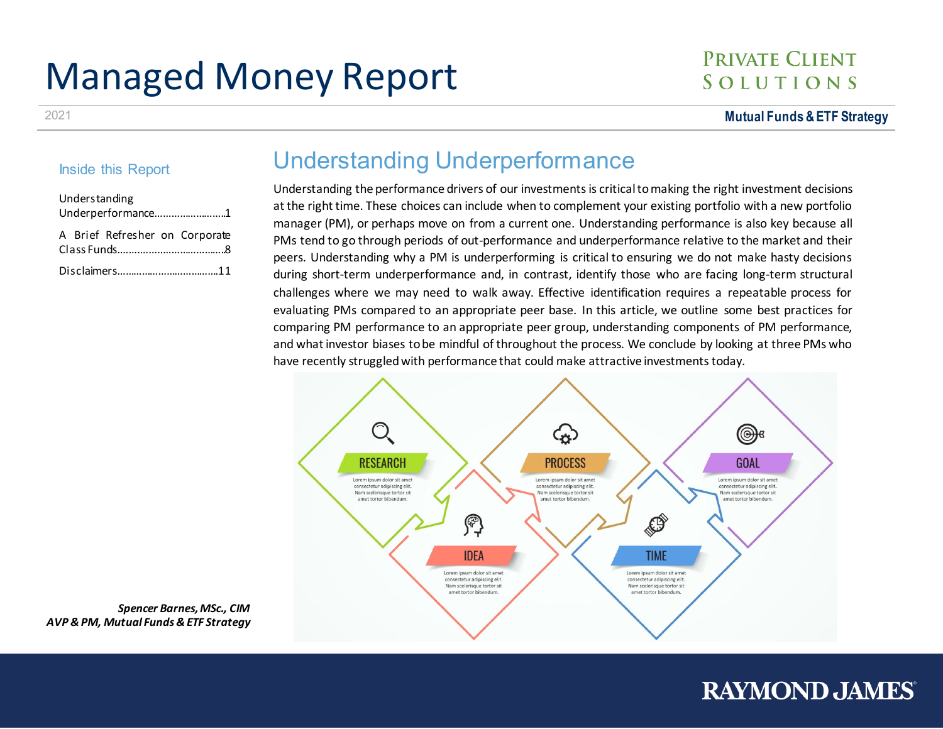# Managed Money Report

## **PRIVATE CLIENT** SOLUTIONS

2021 **Mutual Funds & ETF Strategy**

### Inside this Report

| Understanding<br>Underperformance1 |  |  |
|------------------------------------|--|--|
| A Brief Refresher on Corporate     |  |  |
|                                    |  |  |

## Understanding Underperformance

Understanding the performance drivers of our investments is critical to making the right investment decisions at the right time. These choices can include when to complement your existing portfolio with a new portfolio manager (PM), or perhaps move on from a current one. Understanding performance is also key because all PMs tend to go through periods of out-performance and underperformance relative to the market and their peers. Understanding why a PM is underperforming is critical to ensuring we do not make hasty decisions during short-term underperformance and, in contrast, identify those who are facing long-term structural challenges where we may need to walk away. Effective identification requires a repeatable process for evaluating PMs compared to an appropriate peer base. In this article, we outline some best practices for comparing PM performance to an appropriate peer group, understanding components of PM performance, and what investor biases to be mindful of throughout the process. We conclude by looking at three PMs who have recently struggled with performance that could make attractive investments today.



*Spencer Barnes, MSc., CIM AVP & PM, Mutual Funds & ETF Strategy*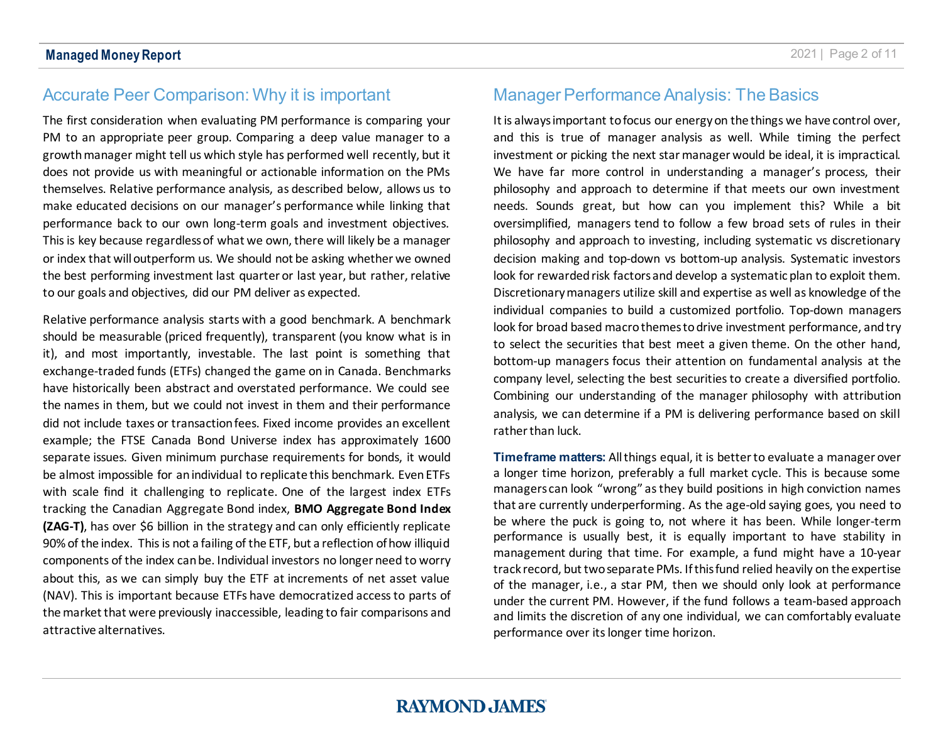## Accurate Peer Comparison: Why it is important

The first consideration when evaluating PM performance is comparing your PM to an appropriate peer group. Comparing a deep value manager to a growth manager might tell us which style has performed well recently, but it does not provide us with meaningful or actionable information on the PMs themselves. Relative performance analysis, as described below, allows us to make educated decisions on our manager's performance while linking that performance back to our own long-term goals and investment objectives. This is key because regardless of what we own, there will likely be a manager or index that will outperform us. We should not be asking whether we owned the best performing investment last quarter or last year, but rather, relative to our goals and objectives, did our PM deliver as expected.

Relative performance analysis starts with a good benchmark. A benchmark should be measurable (priced frequently), transparent (you know what is in it), and most importantly, investable. The last point is something that exchange-traded funds (ETFs) changed the game on in Canada. Benchmarks have historically been abstract and overstated performance. We could see the names in them, but we could not invest in them and their performance did not include taxes or transaction fees. Fixed income provides an excellent example; the FTSE Canada Bond Universe index has approximately 1600 separate issues. Given minimum purchase requirements for bonds, it would be almost impossible for an individual to replicate this benchmark. Even ETFs with scale find it challenging to replicate. One of the largest index ETFs tracking the Canadian Aggregate Bond index, **BMO Aggregate Bond Index (ZAG-T)**, has over \$6 billion in the strategy and can only efficiently replicate 90% of the index. This is not a failing of the ETF, but a reflection of how illiquid components of the index can be. Individual investors no longer need to worry about this, as we can simply buy the ETF at increments of net asset value (NAV). This is important because ETFs have democratized access to parts of the market that were previously inaccessible, leading to fair comparisons and attractive alternatives.

## Manager Performance Analysis: The Basics

It is alwaysimportant to focus our energy on the things we have control over, and this is true of manager analysis as well. While timing the perfect investment or picking the next star manager would be ideal, it is impractical. We have far more control in understanding a manager's process, their philosophy and approach to determine if that meets our own investment needs. Sounds great, but how can you implement this? While a bit oversimplified, managers tend to follow a few broad sets of rules in their philosophy and approach to investing, including systematic vs discretionary decision making and top-down vs bottom-up analysis. Systematic investors look for rewarded risk factors and develop a systematic plan to exploit them. Discretionary managers utilize skill and expertise as well as knowledge of the individual companies to build a customized portfolio. Top-down managers look for broad based macro themes to drive investment performance, and try to select the securities that best meet a given theme. On the other hand, bottom-up managers focus their attention on fundamental analysis at the company level, selecting the best securities to create a diversified portfolio. Combining our understanding of the manager philosophy with attribution analysis, we can determine if a PM is delivering performance based on skill rather than luck.

**Timeframe matters:** All things equal, it is better to evaluate a manager over a longer time horizon, preferably a full market cycle. This is because some managers can look "wrong" as they build positions in high conviction names that are currently underperforming. As the age-old saying goes, you need to be where the puck is going to, not where it has been. While longer-term performance is usually best, it is equally important to have stability in management during that time. For example, a fund might have a 10-year track record, but two separate PMs. If thisfund relied heavily on the expertise of the manager, i.e., a star PM, then we should only look at performance under the current PM. However, if the fund follows a team-based approach and limits the discretion of any one individual, we can comfortably evaluate performance over its longer time horizon.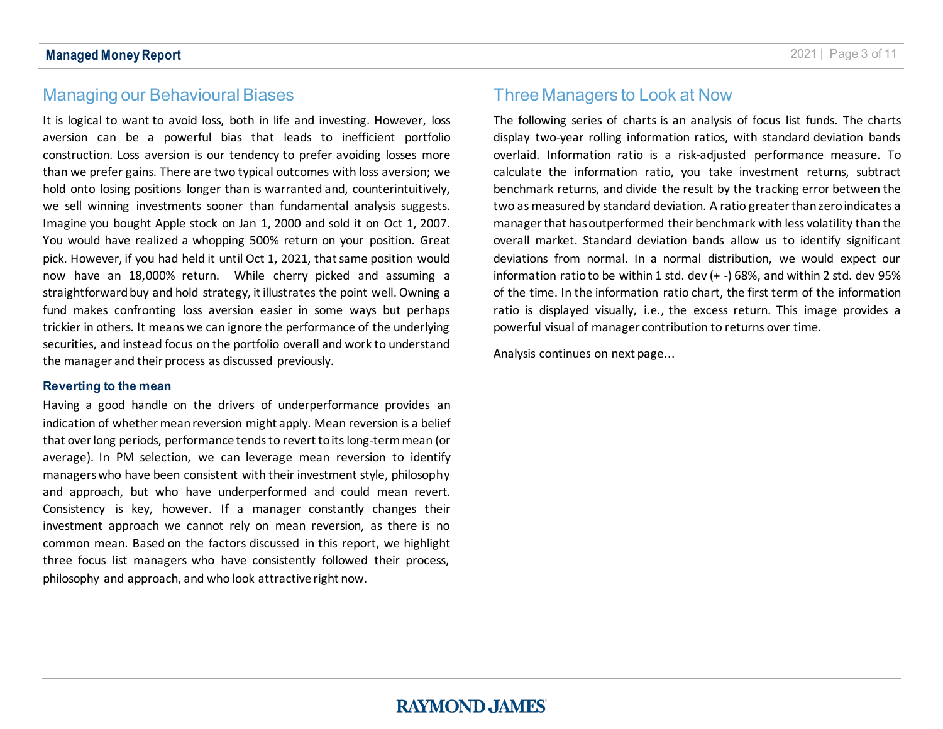## Managing our Behavioural Biases

It is logical to want to avoid loss, both in life and investing. However, loss aversion can be a powerful bias that leads to inefficient portfolio construction. Loss aversion is our tendency to prefer avoiding losses more than we prefer gains. There are two typical outcomes with loss aversion; we hold onto losing positions longer than is warranted and, counterintuitively, we sell winning investments sooner than fundamental analysis suggests. Imagine you bought Apple stock on Jan 1, 2000 and sold it on Oct 1, 2007. You would have realized a whopping 500% return on your position. Great pick. However, if you had held it until Oct 1, 2021, that same position would now have an 18,000% return. While cherry picked and assuming a straightforward buy and hold strategy, it illustrates the point well. Owning a fund makes confronting loss aversion easier in some ways but perhaps trickier in others. It means we can ignore the performance of the underlying securities, and instead focus on the portfolio overall and work to understand the manager and their process as discussed previously.

#### **Reverting to the mean**

Having a good handle on the drivers of underperformance provides an indication of whether mean reversion might apply. Mean reversion is a belief that over long periods, performance tendsto revert to its long-term mean (or average). In PM selection, we can leverage mean reversion to identify managers who have been consistent with their investment style, philosophy and approach, but who have underperformed and could mean revert. Consistency is key, however. If a manager constantly changes their investment approach we cannot rely on mean reversion, as there is no common mean. Based on the factors discussed in this report, we highlight three focus list managers who have consistently followed their process, philosophy and approach, and who look attractive right now.

## Three Managers to Look at Now

The following series of charts is an analysis of focus list funds. The charts display two-year rolling information ratios, with standard deviation bands overlaid. Information ratio is a risk-adjusted performance measure. To calculate the information ratio, you take investment returns, subtract benchmark returns, and divide the result by the tracking error between the two as measured by standard deviation. A ratio greater than zero indicates a manager that has outperformed their benchmark with less volatility than the overall market. Standard deviation bands allow us to identify significant deviations from normal. In a normal distribution, we would expect our information ratio to be within 1 std. dev (+ -) 68%, and within 2 std. dev 95% of the time. In the information ratio chart, the first term of the information ratio is displayed visually, i.e., the excess return. This image provides a powerful visual of manager contribution to returns over time.

Analysis continues on next page...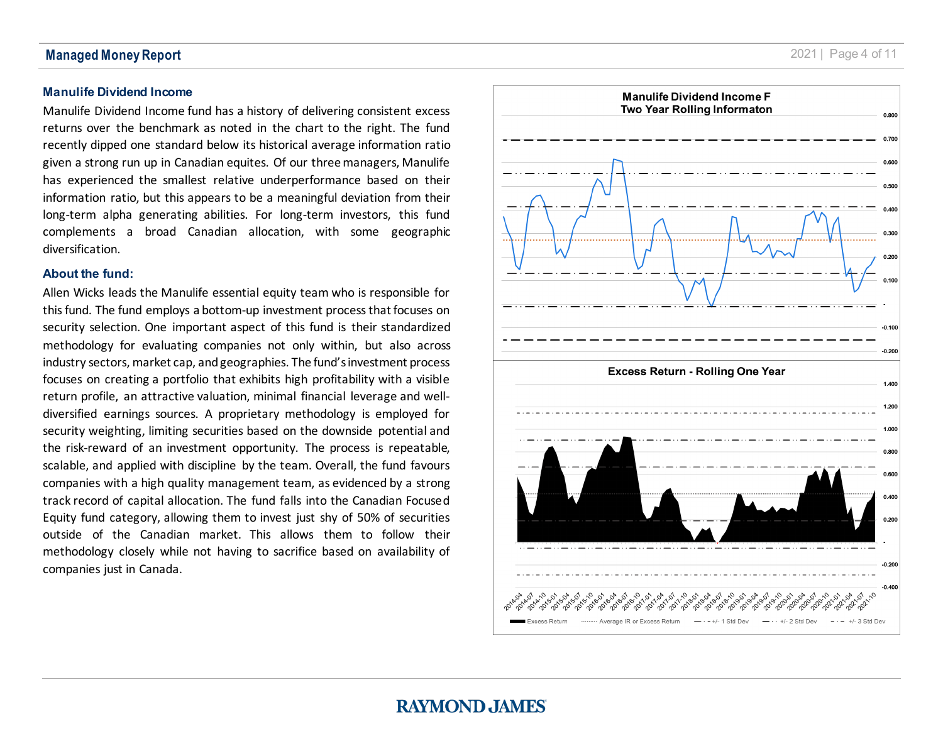#### **Manulife Dividend Income**

Manulife Dividend Income fund has a history of delivering consistent excess return s over the benchmark as noted in the chart to the right. The fund recently dipped one standard below its historical average information ratio given a strong run up in Canadian equites. Of our three managers, Manulife has experienced the smallest relative underperformance based on their information ratio, but this appears to be a meaningful deviation from their long -term alpha generating abilities. For long -term investors, this fund compl ements a broad Canadian allocation, with some geographic diversification.

#### **About the fund:**

Allen Wicks leads the Manulife essential equity team who is responsible for this fund. The fund employs a bottom -up investment process that focuses on security selection. One important aspect of this fund is their standardized methodology for evaluating companies not only within , but also across industry sectors, market cap, andgeographies. The fund's investment process focuses on creating a portfolio that exhibits high profitability with a visible return profile, an attractive valuation, minimal financial leverage and well diversified earnings sources. A proprietary methodology is employed for security weighting, limiting securities based on the downside potential and the risk -reward of an investment opportunity. The process is repeatable, scalable, and applied with discipline by the team. Overall, the fund favours companies with a high quality management team, as evidenced by a strong track record of capital allocation. The fund falls into the Canadian Focused Equity fund category, allowing them to invest just shy of 50% of securities outside of the Canadian market. This allows them to follow their methodology closely while not having to sacrifice based on availability of companies just in Canada.

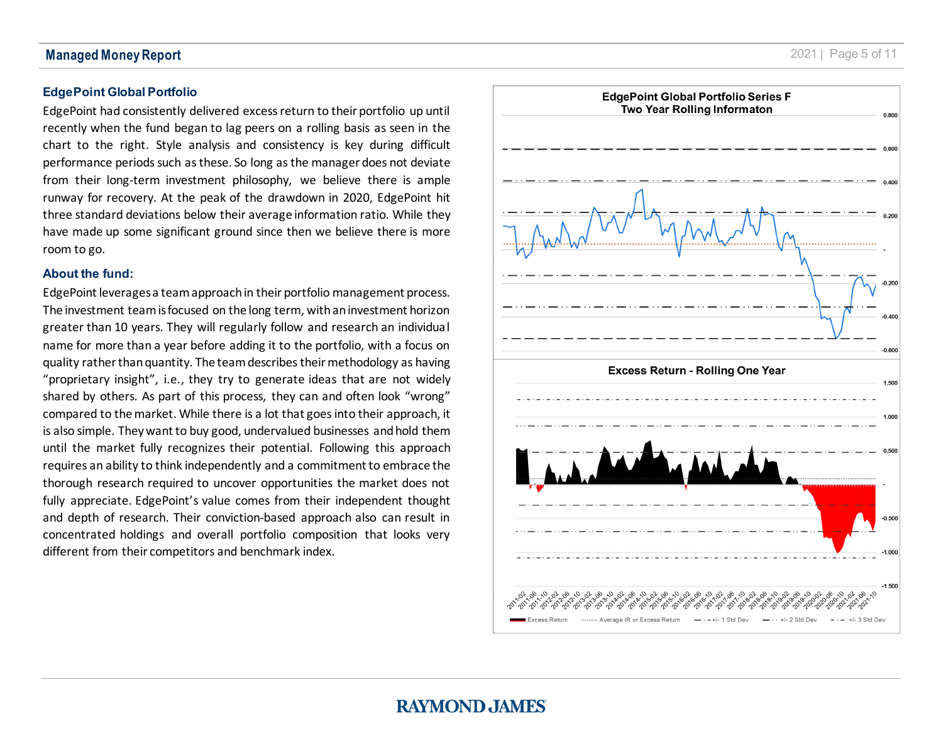#### **EdgePoint Global Portfolio**

EdgePoint had consistently delivered excess return to their portfolio up until recently when the fund began to lag peers on a rolling basis as seen in the chart to the right. Style analysis and consistency is key during difficult performance periods such as these. So long as the manager does not deviate from their long -term investment philosophy, we believe there is ample runway for recovery. At the peak of the drawdown in 2020, EdgePoint hit three standard deviations below their average information ratio. While they have made up some significant ground since then we believe there is more room to go.

#### **About the fund:**

EdgePoint leverages a team approach in their portfolio management process. The investment team is focused on the long term, with an investment horizon greater than 10 years. They will regularly follow and research an individual name for more than a year before adding it to the portfolio, with a focus on quality rather than quantity. The team describes their methodology as having "proprietary insight", i.e., they try to generate ideas that are not widely shared by others. As part of this process, they can and often look "wrong" compared to the market. While there is a lot that goes into their approach, it is also simple. They want to buy good, undervalued businesses and hold them until the market fully recognizes their potential. Following this approach requires an ability to think independently and a commitment to embrace the thorough research required to uncover opportunities the market does not fully appreciate. EdgePoint's value comes from their independent thought and depth of research. Their conviction -based approach also can result in concentrated holdings and overall portfolio composition that looks very different from their competitors and benchmark index .

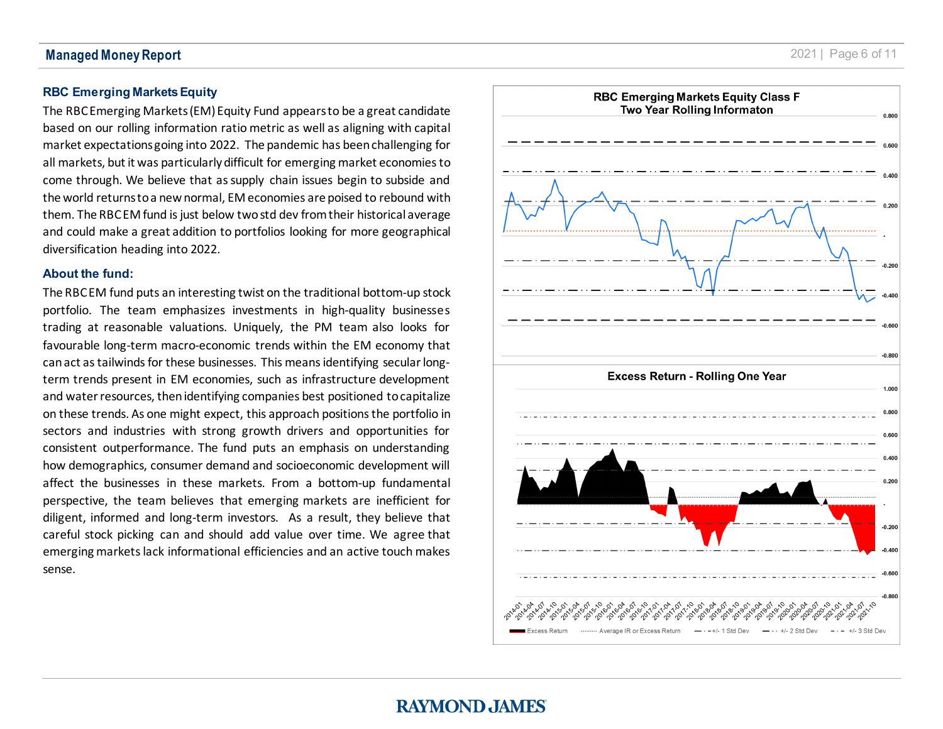#### **Managed Money Report**

## **RBC Emerging Markets Equity**

The RBC Emerging Markets (EM) Equity Fund appears to be a great candidate based on our rolling information ratio metric as well as aligning with capital market expectations going into 2022. The pandemic has been challenging for all markets, but it was particularly difficult for emerging market economies to come through. We believe that as supply chain issues begin to subside and the world returns to a new normal, EM economies are poised to rebound with them. The RBC EM fund is just below twostd dev from their historical average and could make a great addition to portfolios looking for more geographical diversification heading into 2022.

#### **About the fund:**

The RBC EM fund puts an interesting twist on the traditional bottom -up stock portfolio. The team emphasizes investments in high-quality businesses trading at reasonable valuations. Uniquely, the PM team also looks for favourable long-term macro-economic trends within the EM economy that can act as tailwinds for these businesses . This means identifying secular long term trends present in EM economies, such as infrastructure development and water resources, then identifying companies best positioned to capitalize on these trends. As one might expect, this approach positions the portfolio in sectors and industries with strong growth drivers and opportunities for consistent outperformance. The fund puts an emphasis on understanding how demographics, consumer demand and socioeconomic development will affect the businesses in these markets. From a bottom -up fundamental perspective, the team believes that emerging markets are inefficient for diligent, informed and long -term investors. As a result , they believe that careful stock picking can and should add value over time. We agree that emerging markets lack informational efficiencies and an active touch makes sense.

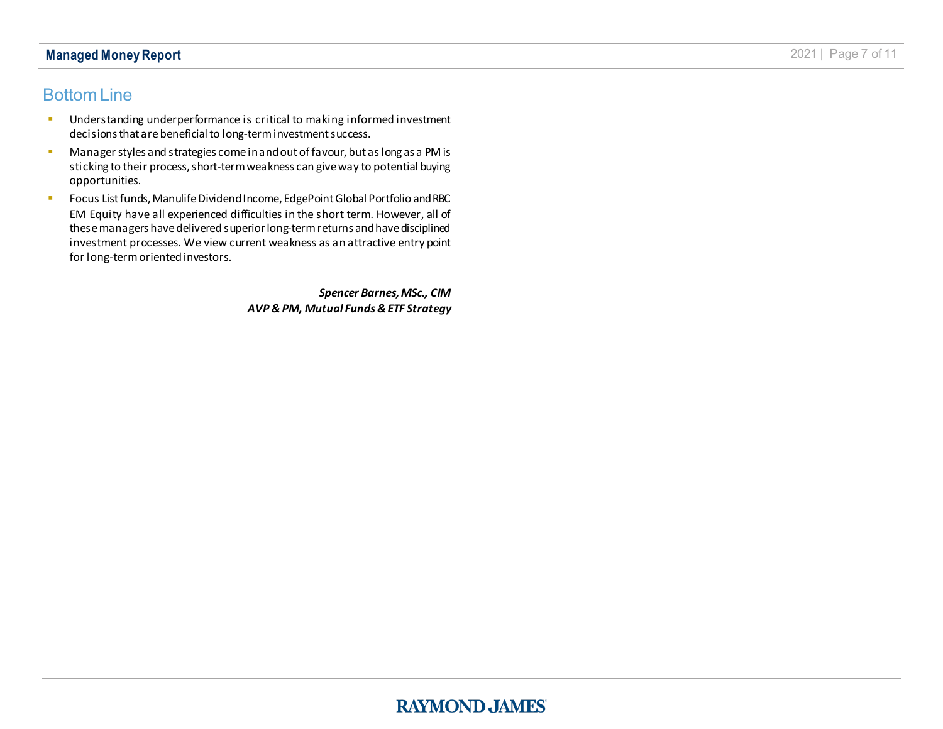#### **Managed Money Report** 2021 | Page 7 of 11

### Bottom Line

- **Understanding underperformance is critical to making informed investment** decisions that are beneficial to long-term investment success.
- **Manager styles and strategies come in and out of favour, but as long as a PM is** sticking to their process, short-term weakness can give way to potential buying opportunities.
- **FILM** Focus List funds, Manulife Dividend Income, EdgePoint Global Portfolio and RBC EM Equity have all experienced difficulties in the short term. However, all of these managers have delivered superior long-term returns and have disciplined investment processes. We view current weakness as an attractive entry point for long-term oriented investors.

*Spencer Barnes, MSc., CIM AVP & PM, Mutual Funds & ETF Strategy*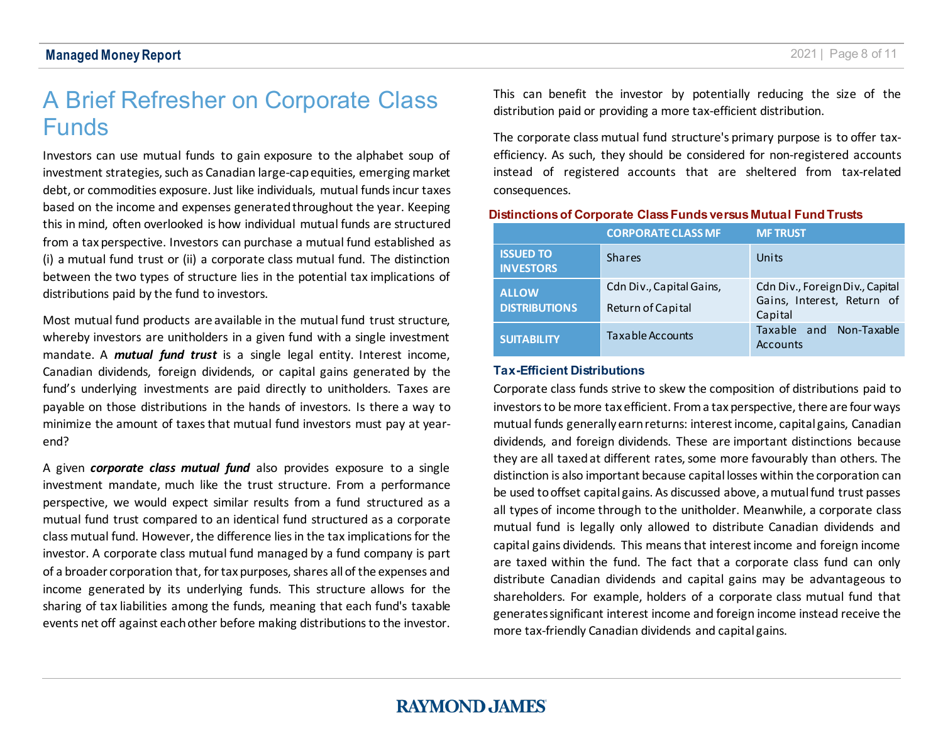## <span id="page-7-0"></span>A Brief Refresher on Corporate Class Funds

Investors can use mutual funds to gain exposure to the alphabet soup of investment strategies, such as Canadian large-cap equities, emerging market debt, or commodities exposure. Just like individuals, mutual funds incur taxes based on the income and expenses generated throughout the year. Keeping this in mind, often overlooked is how individual mutual funds are structured from a tax perspective. Investors can purchase a mutual fund established as (i) a mutual fund trust or (ii) a corporate class mutual fund. The distinction between the two types of structure lies in the potential tax implications of distributions paid by the fund to investors.

Most mutual fund products are available in the mutual fund trust structure, whereby investors are unitholders in a given fund with a single investment mandate. A *mutual fund trust* is a single legal entity. Interest income, Canadian dividends, foreign dividends, or capital gains generated by the fund's underlying investments are paid directly to unitholders. Taxes are payable on those distributions in the hands of investors. Is there a way to minimize the amount of taxes that mutual fund investors must pay at yearend?

A given *corporate class mutual fund* also provides exposure to a single investment mandate, much like the trust structure. From a performance perspective, we would expect similar results from a fund structured as a mutual fund trust compared to an identical fund structured as a corporate class mutual fund. However, the difference lies in the tax implications for the investor. A corporate class mutual fund managed by a fund company is part of a broader corporation that, for tax purposes, shares all of the expenses and income generated by its underlying funds. This structure allows for the sharing of tax liabilities among the funds, meaning that each fund's taxable events net off against each other before making distributions to the investor. This can benefit the investor by potentially reducing the size of the distribution paid or providing a more tax-efficient distribution.

The corporate class mutual fund structure's primary purpose is to offer taxefficiency. As such, they should be considered for non-registered accounts instead of registered accounts that are sheltered from tax-related consequences.

#### **Distinctions of Corporate Class Funds versus Mutual Fund Trusts**

|                                      | <b>CORPORATE CLASS MF</b>                     | <b>MF TRUST</b>                                                          |
|--------------------------------------|-----------------------------------------------|--------------------------------------------------------------------------|
| <b>ISSUED TO</b><br><b>INVESTORS</b> | <b>Shares</b>                                 | Units                                                                    |
| <b>ALLOW</b><br><b>DISTRIBUTIONS</b> | Cdn Div., Capital Gains,<br>Return of Capital | Cdn Div., Foreign Div., Capital<br>Gains, Interest, Return of<br>Capital |
| <b>SUITABILITY</b>                   | Taxable Accounts                              | Taxable and Non-Taxable<br>Accounts                                      |

#### **Tax-Efficient Distributions**

Corporate class funds strive to skew the composition of distributions paid to investors to be more tax efficient. From a tax perspective, there are four ways mutual funds generally earn returns: interest income, capital gains, Canadian dividends, and foreign dividends. These are important distinctions because they are all taxed at different rates, some more favourably than others. The distinction is also important because capital losses within the corporation can be used to offset capital gains. As discussed above, a mutual fund trust passes all types of income through to the unitholder. Meanwhile, a corporate class mutual fund is legally only allowed to distribute Canadian dividends and capital gains dividends. This means that interest income and foreign income are taxed within the fund. The fact that a corporate class fund can only distribute Canadian dividends and capital gains may be advantageous to shareholders. For example, holders of a corporate class mutual fund that generates significant interest income and foreign income instead receive the more tax-friendly Canadian dividends and capital gains.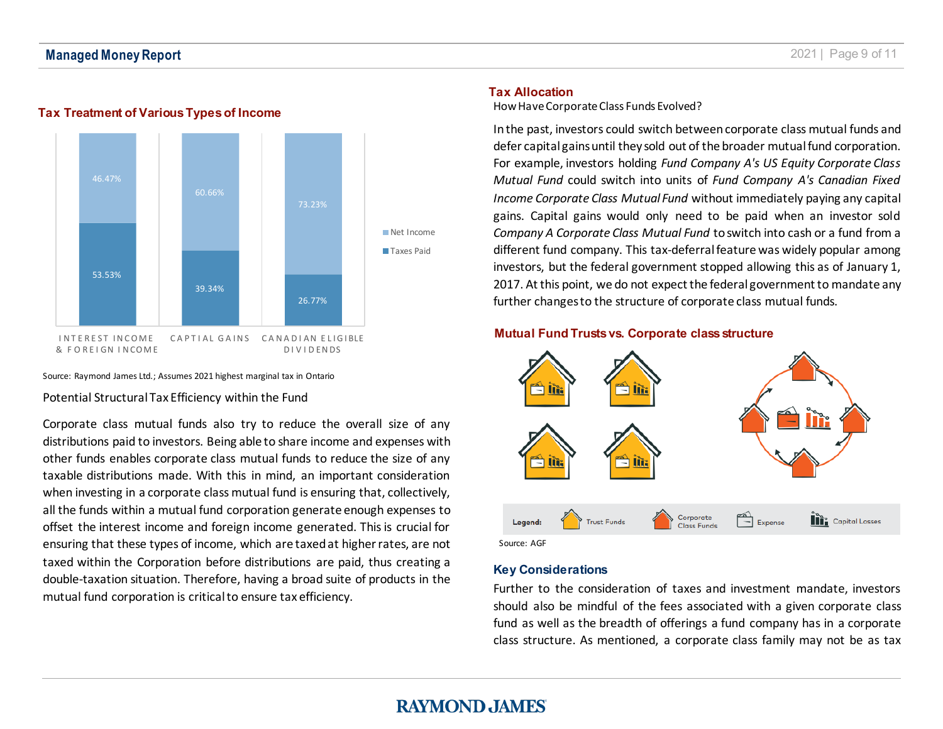



#### Source: Raymond James Ltd.; Assumes 2021 highest marginal tax in Ontario

Potential Structural Tax Efficiency within the Fund

Corporate class mutual funds also try to reduce the overall size of any distributions paid to investors. Being able to share income and expenses with other funds enables corporate class mutual funds to reduce the size of any taxable distributions made. With this in mind, an important consideration when investing in a corporate class mutual fund is ensuring that, collectively, all the funds within a mutual fund corporation generate enough expenses to offset the interest income and foreign income generated. This is crucial for ensuring that these types of income, which are taxed at higher rates, are not taxed within the Corporation before distributions are paid, thus creating a double-taxation situation. Therefore, having a broad suite of products in the mutual fund corporation is critical to ensure tax efficiency.

#### **Tax Allocation**

How Have Corporate Class Funds Evolved?

In the past, investors could switch between corporate class mutual funds and defer capital gains until they sold out of the broader mutual fund corporation. For example, investors holding *Fund Company A's US Equity Corporate Class Mutual Fund* could switch into units of *Fund Company A's Canadian Fixed Income Corporate Class Mutual Fund* without immediately paying any capital gains. Capital gains would only need to be paid when an investor sold *Company A Corporate Class Mutual Fund* to switch into cash or a fund from a different fund company. This tax-deferral feature was widely popular among investors, but the federal government stopped allowing this as of January 1, 2017. At this point, we do not expect the federal government to mandate any further changes to the structure of corporate class mutual funds.

#### **Mutual Fund Trusts vs. Corporate class structure**



Source: AGF

#### **Key Considerations**

Further to the consideration of taxes and investment mandate, investors should also be mindful of the fees associated with a given corporate class fund as well as the breadth of offerings a fund company has in a corporate class structure. As mentioned, a corporate class family may not be as tax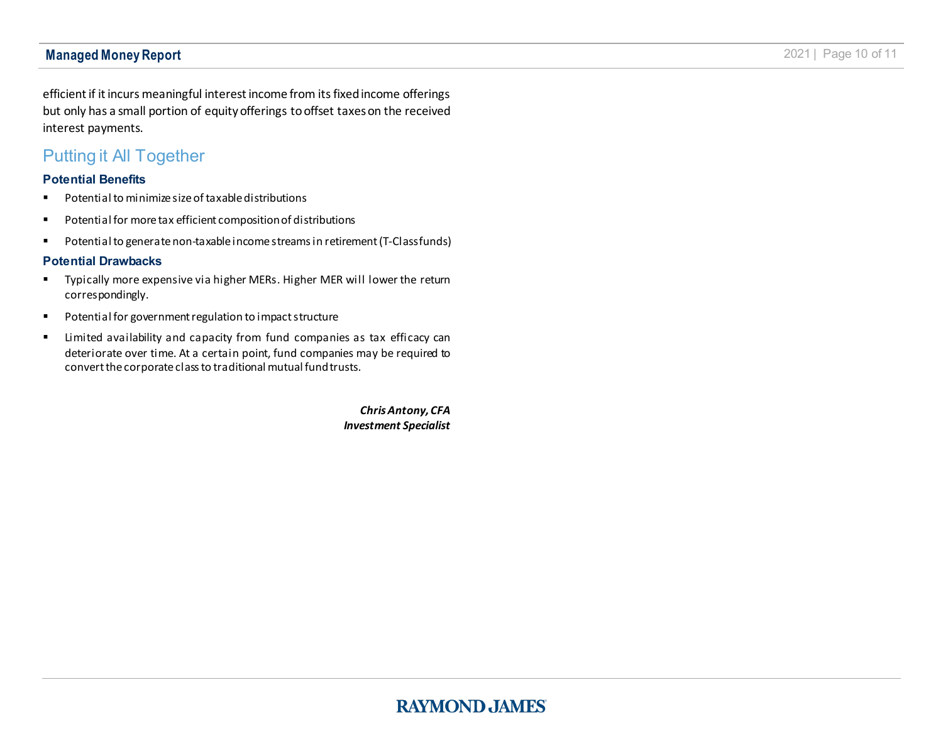efficient if it incurs meaningful interest income from its fixed income offerings but only has a small portion of equity offerings to offset taxes on the received interest payments.

## Putting it All Together

#### **Potential Benefits**

- **Potential to minimize size of taxable distributions**
- Potential for more tax efficient composition of distributions
- Potential to generate non-taxable income streams in retirement (T-Class funds)

#### **Potential Drawbacks**

- **Typically more expensive via higher MERs. Higher MER will lower the return** correspondingly.
- Potential for government regulation to impact structure
- **E** Limited availability and capacity from fund companies as tax efficacy can deteriorate over time. At a certain point, fund companies may be required to convert the corporate class to traditional mutual fund trusts.

*Chris Antony, CFA Investment Specialist*